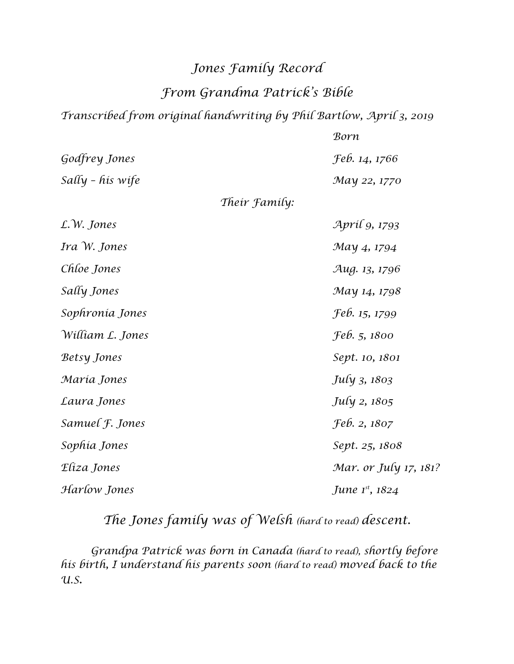# *Jones Family Record From Grandma Patrick's Bible*

*Born*

*Transcribed from original handwriting by Phil Bartlow, April 3, 2019*

| Godfrey Jones          | Теб. 14, 1766               |
|------------------------|-----------------------------|
| Sally - his wife       | May 22, 1770                |
| Their Family:          |                             |
| L.W. Jones             | April 9, 1793               |
| Ira W. Jones           | May 4, 1794                 |
| Chloe Jones            | Aug. 13, 1796               |
| Sally Jones            | May 14, 1798                |
| Sophronía Jones        | Јеб. 15, 1799               |
| William L. Jones       | <i>Feb.</i> 5, 1800         |
| <b>Betsy Jones</b>     | Sept. 10, 1801              |
| María Jones            | <i>July 3, 1803</i>         |
| Laura Jones            | July 2, 1805                |
| Samuel <i>F.</i> Jones | <i>Feb. 2, 1807</i>         |
| Sophia Jones           | Sept. 25, 1808              |
| Eliza Jones            | Mar. or July 17, 181?       |
| Harlow Jones           | June 1 <sup>st</sup> , 1824 |

*The Jones family was of Welsh (hard to read) descent.*

*Grandpa Patrick was born in Canada (hard to read), shortly before his birth, I understand his parents soon (hard to read) moved back to the U.S.*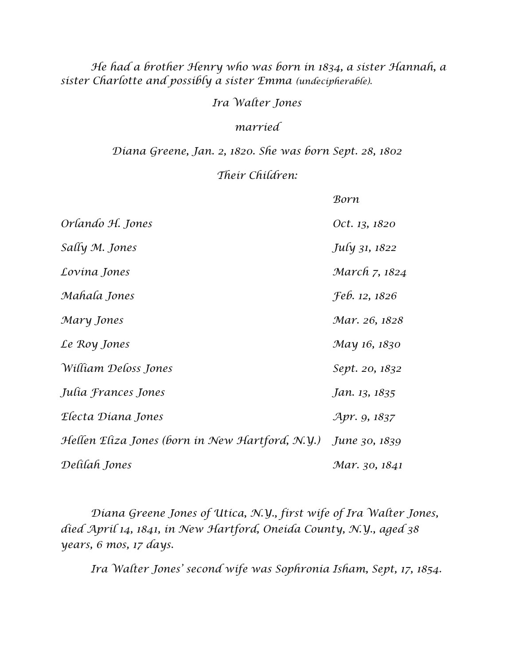#### *He had a brother Henry who was born in 1834, a sister Hannah, a sister Charlotte and possibly a sister Emma (undecipherable).*

#### *Ira Walter Jones*

#### *married*

## *Diana Greene, Jan. 2, 1820. She was born Sept. 28, 1802*

#### *Their Children:*

|                                                 | Born                 |
|-------------------------------------------------|----------------------|
| Orlando H. Jones                                | Oct. 13, 1820        |
| Sally M. Jones                                  | July 31, 1822        |
| Lovina Jones                                    | March 7, 1824        |
| Mahala Jones                                    | <i>Feb. 12, 1826</i> |
| Mary Jones                                      | Mar. 26, 1828        |
| Le Roy Jones                                    | May 16, 1830         |
| William Deloss Jones                            | Sept. 20, 1832       |
| Julia Frances Jones                             | Jan. 13, 1835        |
| Electa Díana Jones                              | Apr. 9, 1837         |
| Hellen Eliza Jones (born in New Hartford, N.Y.) | June 30, 1839        |
| Delilah Jones                                   | Mar. 30, 1841        |

*Diana Greene Jones of Utica, N.Y., first wife of Ira Walter Jones, died April 14, 1841, in New Hartford, Oneida County, N.Y., aged 38 years, 6 mos, 17 days.*

*Ira Walter Jones' second wife was Sophronia Isham, Sept, 17, 1854.*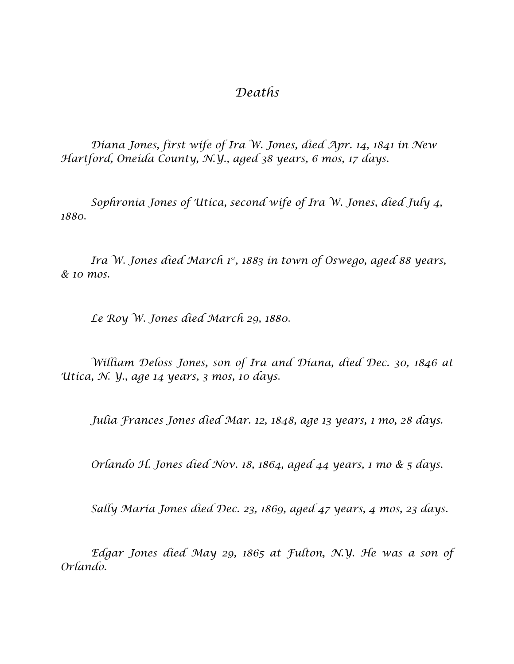## *Deaths*

*Diana Jones, first wife of Ira W. Jones, died Apr. 14, 1841 in New Hartford, Oneida County, N.Y., aged 38 years, 6 mos, 17 days.*

*Sophronia Jones of Utica, second wife of Ira W. Jones, died July 4, 1880.*

*Ira W. Jones died March 1st, 1883 in town of Oswego, aged 88 years, & 10 mos.*

*Le Roy W. Jones died March 29, 1880.*

*William Deloss Jones, son of Ira and Diana, died Dec. 30, 1846 at Utica, N. Y., age 14 years, 3 mos, 10 days.*

*Julia Frances Jones died Mar. 12, 1848, age 13 years, 1 mo, 28 days.*

*Orlando H. Jones died Nov. 18, 1864, aged 44 years, 1 mo & 5 days.*

*Sally Maria Jones died Dec. 23, 1869, aged 47 years, 4 mos, 23 days.*

*Edgar Jones died May 29, 1865 at Fulton, N.Y. He was a son of Orlando.*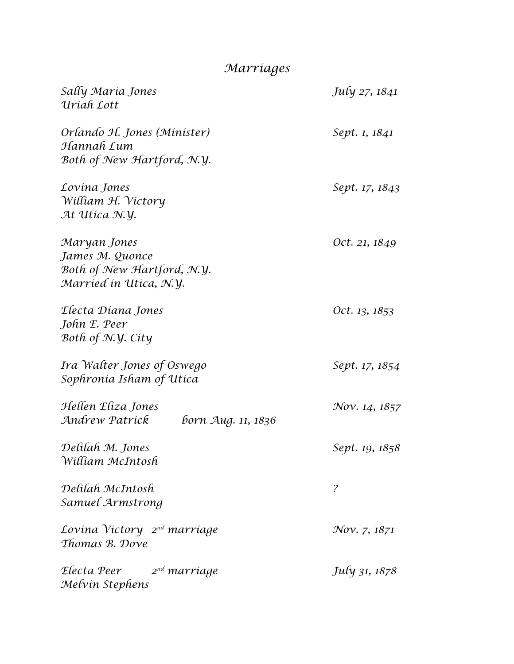## *Marriages*

| Sally Maria Jones<br>Uriah Lott                                                         | July 27, 1841             |
|-----------------------------------------------------------------------------------------|---------------------------|
| Orlando H. Jones (Minister)<br>Hannah Lum<br>Both of New Hartford, N.Y.                 | Sept. 1, 1841             |
| Lovina Jones<br>William H. Victory<br>At Utica N.Y.                                     | Sept. 17, 1843            |
| Maryan Jones<br>James M. Quonce<br>Both of New Hartford, N.Y.<br>Married in Utica, N.Y. | Oct. 21, 1849             |
| Electa Díana Jones<br>John E. Peer<br>Both of N.Y. City                                 | Oct. 13, 1853             |
| Ira Walter Jones of Oswego<br>Sophronia Isham of Utica                                  | Sept. 17, 1854            |
| Hellen Eliza Jones<br>Andrew Patrick<br>born Aug. 11, 1836                              | $\mathcal{N}ov. 14, 1857$ |
| Delilah M. Jones<br>William McIntosh                                                    | Sept. 19, 1858            |
| Delilah McIntosh<br>Samuel Armstrong                                                    | $\overline{\mathcal{E}}$  |
| Lovina Victory 2 <sup>nd</sup> marriage<br>Thomas B. Dove                               | Nov. 7, 1871              |
| Electa Peer<br>$2^{nd}$ marríage<br>Melvin Stephens                                     | <i>July 31, 1878</i>      |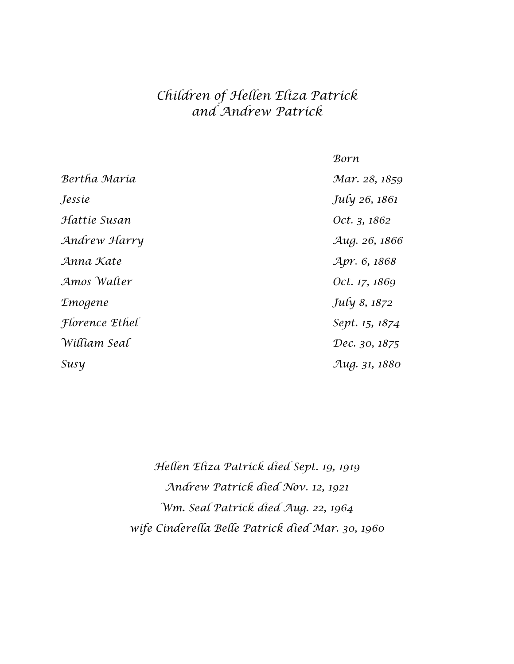## *Children of Hellen Eliza Patrick and Andrew Patrick*

|                | Born           |
|----------------|----------------|
| Bertha María   | Mar. 28, 1859  |
| Jessie         | July 26, 1861  |
| Hattie Susan   | Oct. 3, 1862   |
| Andrew Harry   | Aug. 26, 1866  |
| Anna Kate      | Apr. 6, 1868   |
| Amos Walter    | Oct. 17, 1869  |
| <b>Emogene</b> | July 8, 1872   |
| Florence Ethel | Sept. 15, 1874 |
| William Seal   | Dec. 30, 1875  |
| Susy           | Aug. 31, 1880  |

*Hellen Eliza Patrick died Sept. 19, 1919 Andrew Patrick died Nov. 12, 1921 Wm. Seal Patrick died Aug. 22, 1964 wife Cinderella Belle Patrick died Mar. 30, 1960*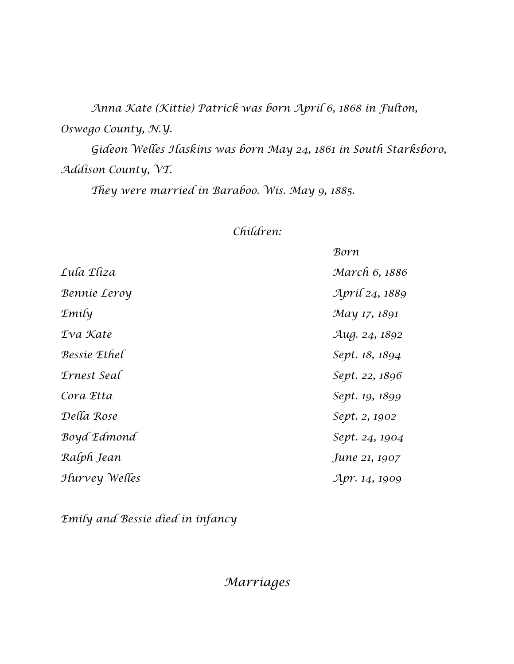*Anna Kate (Kittie) Patrick was born April 6, 1868 in Fulton, Oswego County, N.Y.*

*Gideon Welles Haskins was born May 24, 1861 in South Starksboro, Addison County, VT.*

*They were married in Baraboo. Wis. May 9, 1885.*

#### *Children:*

|                     | Born           |
|---------------------|----------------|
| Lula Eliza          | March 6, 1886  |
| <b>Bennie Leroy</b> | Apríl 24, 1889 |
| <b>Emily</b>        | May 17, 1891   |
| Eva Kate            | Aug. 24, 1892  |
| Bessie Ethel        | Sept. 18, 1894 |
| Ernest Seal         | Sept. 22, 1896 |
| Cora Etta           | Sept. 19, 1899 |
| Della Rose          | Sept. 2, 1902  |
| Boyd Edmond         | Sept. 24, 1904 |
| Ralph Jean          | June 21, 1907  |
| Hurvey Welles       | Apr. 14, 1909  |

*Emily and Bessie died in infancy*

*Marriages*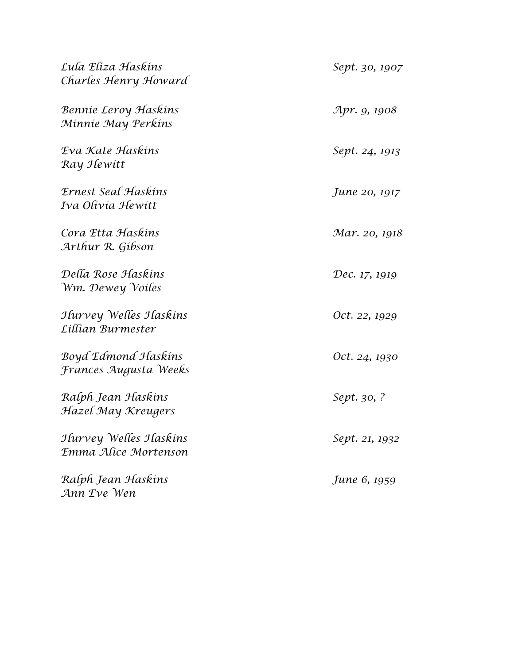| Lula Elíza Haskíns<br>Charles Henry Howard    | Sept. 30, 1907 |
|-----------------------------------------------|----------------|
| Bennie Leroy Haskins<br>Minnie May Perkins    | Apr. 9, 1908   |
| Eva Kate Haskins<br>Ray Hewitt                | Sept. 24, 1913 |
| Ernest Seal Haskins<br>Iva Olivia Hewitt      | June 20, 1917  |
| Cora Etta Haskins<br>Arthur R. Gibson         | Mar. 20, 1918  |
| Della Rose Haskins<br>Wm. Dewey Voiles        | Dec. 17, 1919  |
| Hurvey Welles Haskins<br>Lillian Burmester    | Oct. 22, 1929  |
| Boyd Edmond Haskins<br>Frances Augusta Weeks  | Oct. 24, 1930  |
| Ralph Jean Haskins<br>Hazel May Kreugers      | Sept. 30, ?    |
| Hurvey Welles Haskins<br>Emma Alice Mortenson | Sept. 21, 1932 |
| Ralph Jean Haskins<br>Ann Eve Wen             | June 6, 1959   |